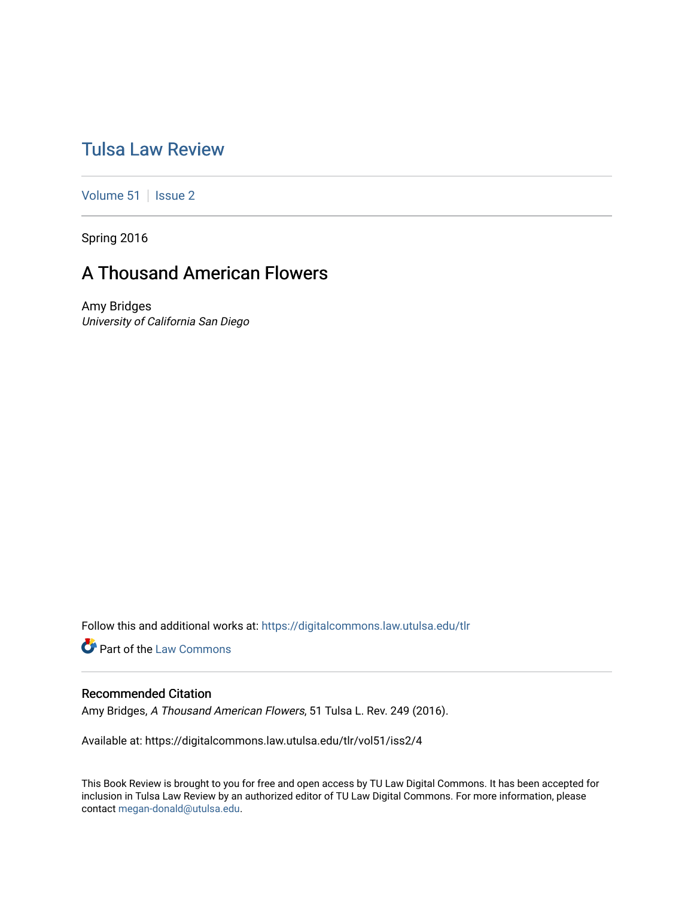# [Tulsa Law Review](https://digitalcommons.law.utulsa.edu/tlr)

[Volume 51](https://digitalcommons.law.utulsa.edu/tlr/vol51) | [Issue 2](https://digitalcommons.law.utulsa.edu/tlr/vol51/iss2)

Spring 2016

# A Thousand American Flowers

Amy Bridges University of California San Diego

Follow this and additional works at: [https://digitalcommons.law.utulsa.edu/tlr](https://digitalcommons.law.utulsa.edu/tlr?utm_source=digitalcommons.law.utulsa.edu%2Ftlr%2Fvol51%2Fiss2%2F4&utm_medium=PDF&utm_campaign=PDFCoverPages) 

**Part of the [Law Commons](http://network.bepress.com/hgg/discipline/578?utm_source=digitalcommons.law.utulsa.edu%2Ftlr%2Fvol51%2Fiss2%2F4&utm_medium=PDF&utm_campaign=PDFCoverPages)** 

# Recommended Citation

Amy Bridges, A Thousand American Flowers, 51 Tulsa L. Rev. 249 (2016).

Available at: https://digitalcommons.law.utulsa.edu/tlr/vol51/iss2/4

This Book Review is brought to you for free and open access by TU Law Digital Commons. It has been accepted for inclusion in Tulsa Law Review by an authorized editor of TU Law Digital Commons. For more information, please contact [megan-donald@utulsa.edu.](mailto:megan-donald@utulsa.edu)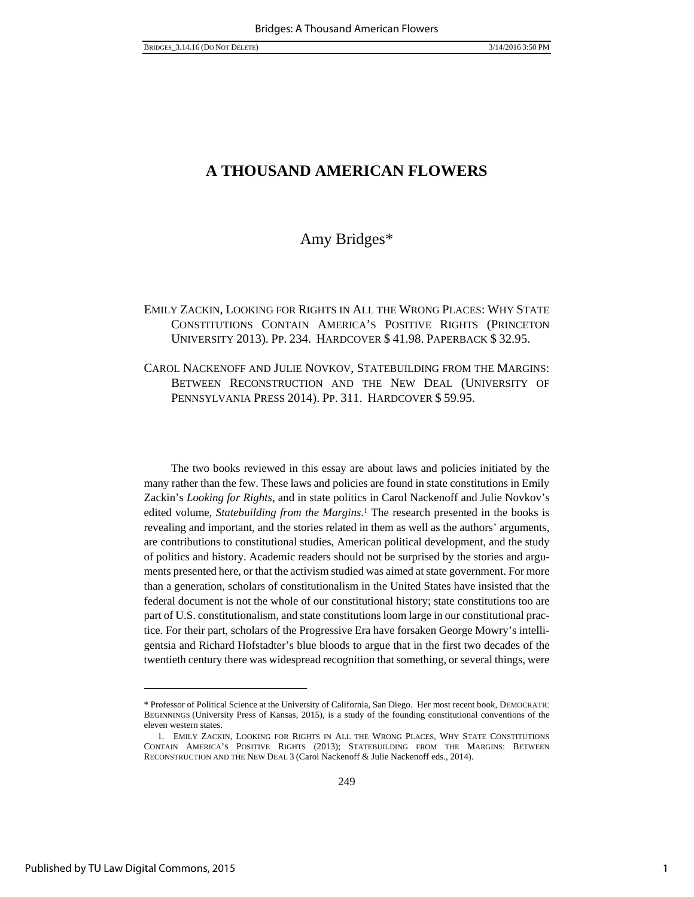# Amy Bridges\*

## EMILY ZACKIN, LOOKING FOR RIGHTS IN ALL THE WRONG PLACES: WHY STATE CONSTITUTIONS CONTAIN AMERICA'S POSITIVE RIGHTS (PRINCETON UNIVERSITY 2013). PP. 234. HARDCOVER \$ 41.98. PAPERBACK \$ 32.95.

## CAROL NACKENOFF AND JULIE NOVKOV, STATEBUILDING FROM THE MARGINS: BETWEEN RECONSTRUCTION AND THE NEW DEAL (UNIVERSITY OF PENNSYLVANIA PRESS 2014). PP. 311. HARDCOVER \$ 59.95.

The two books reviewed in this essay are about laws and policies initiated by the many rather than the few. These laws and policies are found in state constitutions in Emily Zackin's *Looking for Rights*, and in state politics in Carol Nackenoff and Julie Novkov's edited volume, *Statebuilding from the Margins*. 1 The research presented in the books is revealing and important, and the stories related in them as well as the authors' arguments, are contributions to constitutional studies, American political development, and the study of politics and history. Academic readers should not be surprised by the stories and arguments presented here, or that the activism studied was aimed at state government. For more than a generation, scholars of constitutionalism in the United States have insisted that the federal document is not the whole of our constitutional history; state constitutions too are part of U.S. constitutionalism, and state constitutions loom large in our constitutional practice. For their part, scholars of the Progressive Era have forsaken George Mowry's intelligentsia and Richard Hofstadter's blue bloods to argue that in the first two decades of the twentieth century there was widespread recognition that something, or several things, were

<sup>\*</sup> Professor of Political Science at the University of California, San Diego. Her most recent book*,* DEMOCRATIC BEGINNINGS (University Press of Kansas, 2015), is a study of the founding constitutional conventions of the eleven western states.

 <sup>1.</sup> EMILY ZACKIN, LOOKING FOR RIGHTS IN ALL THE WRONG PLACES, WHY STATE CONSTITUTIONS CONTAIN AMERICA'S POSITIVE RIGHTS (2013); STATEBUILDING FROM THE MARGINS: BETWEEN RECONSTRUCTION AND THE NEW DEAL 3 (Carol Nackenoff & Julie Nackenoff eds., 2014).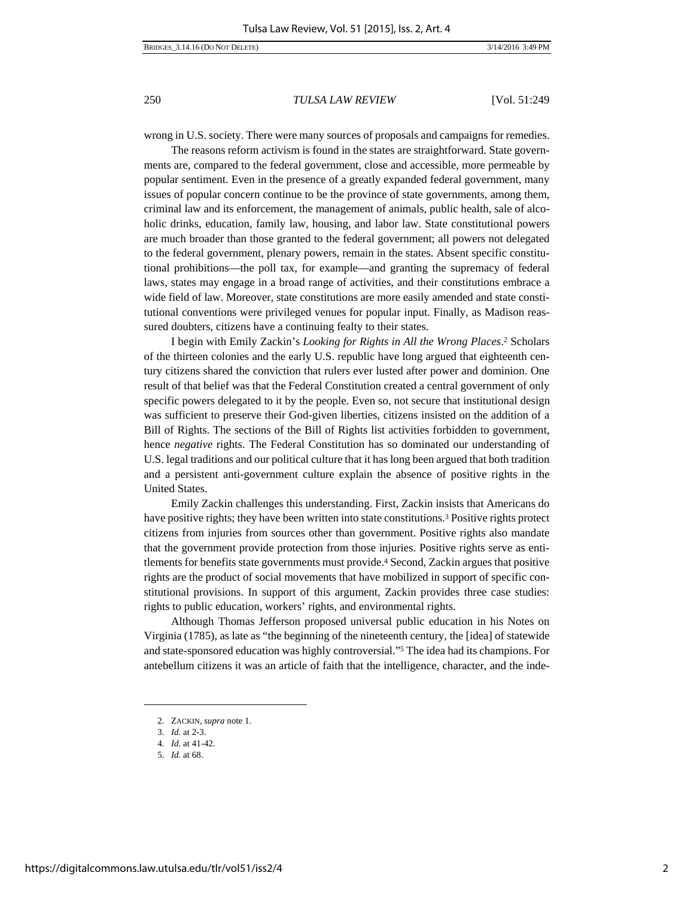wrong in U.S. society. There were many sources of proposals and campaigns for remedies.

The reasons reform activism is found in the states are straightforward. State governments are, compared to the federal government, close and accessible, more permeable by popular sentiment. Even in the presence of a greatly expanded federal government, many issues of popular concern continue to be the province of state governments, among them, criminal law and its enforcement, the management of animals, public health, sale of alcoholic drinks, education, family law, housing, and labor law. State constitutional powers are much broader than those granted to the federal government; all powers not delegated to the federal government, plenary powers, remain in the states. Absent specific constitutional prohibitions—the poll tax, for example—and granting the supremacy of federal laws, states may engage in a broad range of activities, and their constitutions embrace a wide field of law. Moreover, state constitutions are more easily amended and state constitutional conventions were privileged venues for popular input. Finally, as Madison reassured doubters, citizens have a continuing fealty to their states.

I begin with Emily Zackin's *Looking for Rights in All the Wrong Places*. 2 Scholars of the thirteen colonies and the early U.S. republic have long argued that eighteenth century citizens shared the conviction that rulers ever lusted after power and dominion. One result of that belief was that the Federal Constitution created a central government of only specific powers delegated to it by the people. Even so, not secure that institutional design was sufficient to preserve their God-given liberties, citizens insisted on the addition of a Bill of Rights. The sections of the Bill of Rights list activities forbidden to government, hence *negative* rights. The Federal Constitution has so dominated our understanding of U.S. legal traditions and our political culture that it has long been argued that both tradition and a persistent anti-government culture explain the absence of positive rights in the United States.

Emily Zackin challenges this understanding. First, Zackin insists that Americans do have positive rights; they have been written into state constitutions.3 Positive rights protect citizens from injuries from sources other than government. Positive rights also mandate that the government provide protection from those injuries. Positive rights serve as entitlements for benefits state governments must provide.4 Second, Zackin argues that positive rights are the product of social movements that have mobilized in support of specific constitutional provisions. In support of this argument, Zackin provides three case studies: rights to public education, workers' rights, and environmental rights.

Although Thomas Jefferson proposed universal public education in his Notes on Virginia (1785), as late as "the beginning of the nineteenth century, the [idea] of statewide and state-sponsored education was highly controversial."5 The idea had its champions. For antebellum citizens it was an article of faith that the intelligence, character, and the inde-

 <sup>2.</sup> ZACKIN, *supra* note 1.

 <sup>3.</sup> *Id.* at 2-3.

<sup>4</sup>*. Id.* at 41-42.

 <sup>5.</sup> *Id.* at 68.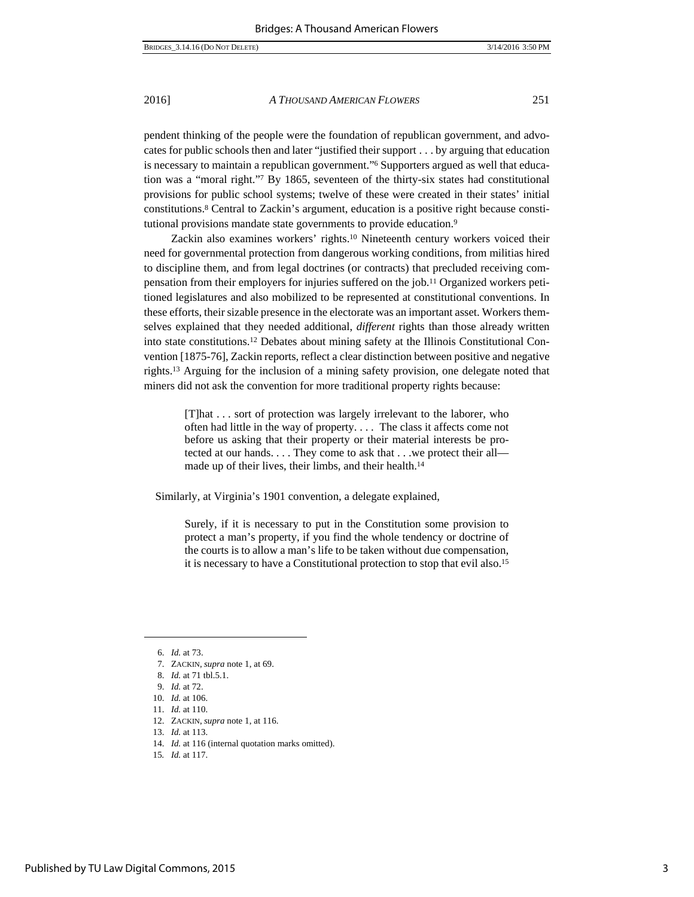pendent thinking of the people were the foundation of republican government, and advocates for public schools then and later "justified their support . . . by arguing that education is necessary to maintain a republican government."<sup>6</sup> Supporters argued as well that education was a "moral right."7 By 1865, seventeen of the thirty-six states had constitutional provisions for public school systems; twelve of these were created in their states' initial constitutions.8 Central to Zackin's argument, education is a positive right because constitutional provisions mandate state governments to provide education.9

Zackin also examines workers' rights.10 Nineteenth century workers voiced their need for governmental protection from dangerous working conditions, from militias hired to discipline them, and from legal doctrines (or contracts) that precluded receiving compensation from their employers for injuries suffered on the job.11 Organized workers petitioned legislatures and also mobilized to be represented at constitutional conventions. In these efforts, their sizable presence in the electorate was an important asset. Workers themselves explained that they needed additional, *different* rights than those already written into state constitutions.12 Debates about mining safety at the Illinois Constitutional Convention [1875-76], Zackin reports, reflect a clear distinction between positive and negative rights.13 Arguing for the inclusion of a mining safety provision, one delegate noted that miners did not ask the convention for more traditional property rights because:

> [T]hat . . . sort of protection was largely irrelevant to the laborer, who often had little in the way of property. . . . The class it affects come not before us asking that their property or their material interests be protected at our hands. . . . They come to ask that . . .we protect their all made up of their lives, their limbs, and their health.<sup>14</sup>

Similarly, at Virginia's 1901 convention, a delegate explained,

Surely, if it is necessary to put in the Constitution some provision to protect a man's property, if you find the whole tendency or doctrine of the courts is to allow a man's life to be taken without due compensation, it is necessary to have a Constitutional protection to stop that evil also.15

 $\overline{a}$ 

12. ZACKIN, *supra* note 1, at 116.

14. *Id.* at 116 (internal quotation marks omitted).

15*. Id.* at 117.

 <sup>6.</sup> *Id.* at 73.

 <sup>7.</sup> ZACKIN, *supra* note 1, at 69.

 <sup>8.</sup> *Id.* at 71 tbl.5.1.

 <sup>9.</sup> *Id.* at 72.

 <sup>10.</sup> *Id.* at 106.

 <sup>11.</sup> *Id.* at 110.

 <sup>13.</sup> *Id.* at 113.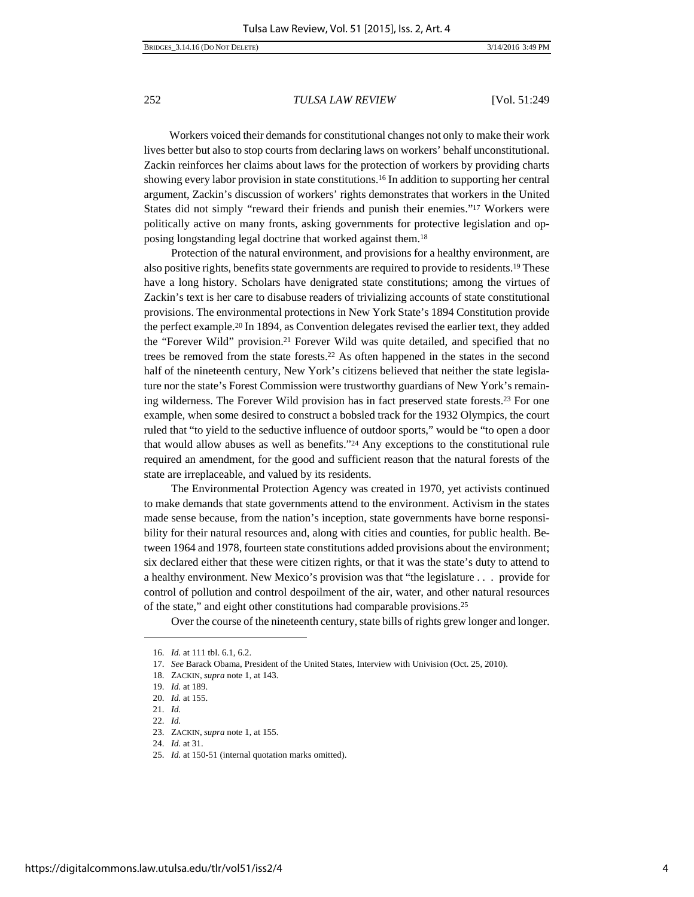Workers voiced their demands for constitutional changes not only to make their work lives better but also to stop courts from declaring laws on workers' behalf unconstitutional. Zackin reinforces her claims about laws for the protection of workers by providing charts showing every labor provision in state constitutions.16 In addition to supporting her central argument, Zackin's discussion of workers' rights demonstrates that workers in the United States did not simply "reward their friends and punish their enemies."17 Workers were politically active on many fronts, asking governments for protective legislation and opposing longstanding legal doctrine that worked against them.18

Protection of the natural environment, and provisions for a healthy environment, are also positive rights, benefits state governments are required to provide to residents.19 These have a long history. Scholars have denigrated state constitutions; among the virtues of Zackin's text is her care to disabuse readers of trivializing accounts of state constitutional provisions. The environmental protections in New York State's 1894 Constitution provide the perfect example.20 In 1894, as Convention delegates revised the earlier text, they added the "Forever Wild" provision.21 Forever Wild was quite detailed, and specified that no trees be removed from the state forests.22 As often happened in the states in the second half of the nineteenth century, New York's citizens believed that neither the state legislature nor the state's Forest Commission were trustworthy guardians of New York's remaining wilderness. The Forever Wild provision has in fact preserved state forests.23 For one example, when some desired to construct a bobsled track for the 1932 Olympics, the court ruled that "to yield to the seductive influence of outdoor sports," would be "to open a door that would allow abuses as well as benefits."24 Any exceptions to the constitutional rule required an amendment, for the good and sufficient reason that the natural forests of the state are irreplaceable, and valued by its residents.

The Environmental Protection Agency was created in 1970, yet activists continued to make demands that state governments attend to the environment. Activism in the states made sense because, from the nation's inception, state governments have borne responsibility for their natural resources and, along with cities and counties, for public health. Between 1964 and 1978, fourteen state constitutions added provisions about the environment; six declared either that these were citizen rights, or that it was the state's duty to attend to a healthy environment. New Mexico's provision was that "the legislature . . . provide for control of pollution and control despoilment of the air, water, and other natural resources of the state," and eight other constitutions had comparable provisions.25

Over the course of the nineteenth century, state bills of rights grew longer and longer.

 <sup>16.</sup> *Id.* at 111 tbl. 6.1, 6.2.

 <sup>17.</sup> *See* Barack Obama, President of the United States, Interview with Univision (Oct. 25, 2010).

 <sup>18.</sup> ZACKIN, *supra* note 1, at 143.

 <sup>19.</sup> *Id.* at 189.

 <sup>20.</sup> *Id.* at 155.

 <sup>21.</sup> *Id.*

 <sup>22.</sup> *Id.*

 <sup>23.</sup> ZACKIN, *supra* note 1, at 155.

 <sup>24.</sup> *Id.* at 31.

 <sup>25.</sup> *Id.* at 150-51 (internal quotation marks omitted).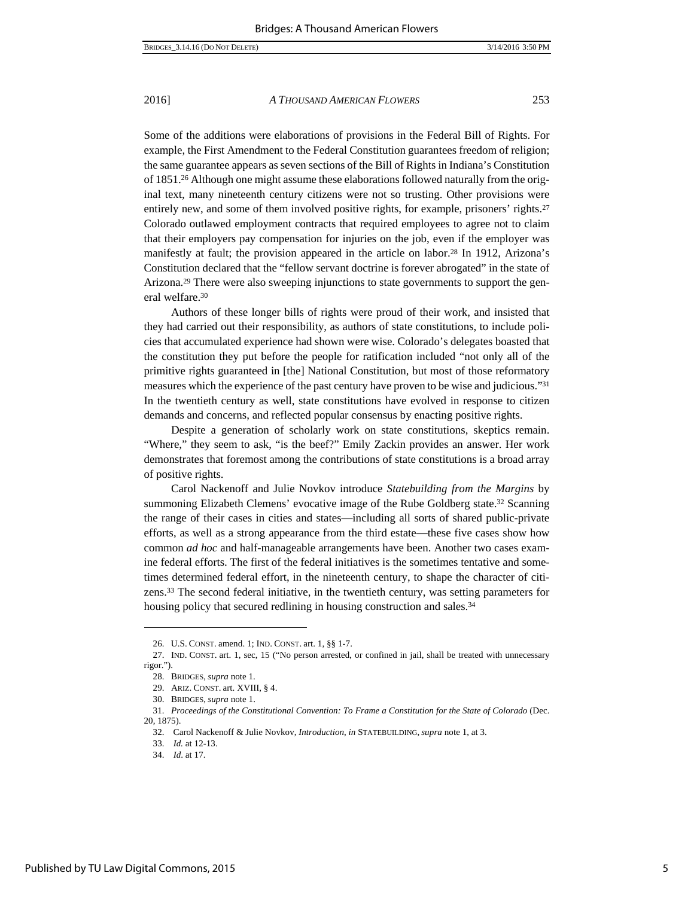Some of the additions were elaborations of provisions in the Federal Bill of Rights. For example, the First Amendment to the Federal Constitution guarantees freedom of religion; the same guarantee appears as seven sections of the Bill of Rights in Indiana's Constitution of 1851.26 Although one might assume these elaborations followed naturally from the original text, many nineteenth century citizens were not so trusting. Other provisions were entirely new, and some of them involved positive rights, for example, prisoners' rights.<sup>27</sup> Colorado outlawed employment contracts that required employees to agree not to claim that their employers pay compensation for injuries on the job, even if the employer was manifestly at fault; the provision appeared in the article on labor.28 In 1912, Arizona's Constitution declared that the "fellow servant doctrine is forever abrogated" in the state of Arizona.29 There were also sweeping injunctions to state governments to support the general welfare.30

Authors of these longer bills of rights were proud of their work, and insisted that they had carried out their responsibility, as authors of state constitutions, to include policies that accumulated experience had shown were wise. Colorado's delegates boasted that the constitution they put before the people for ratification included "not only all of the primitive rights guaranteed in [the] National Constitution, but most of those reformatory measures which the experience of the past century have proven to be wise and judicious."31 In the twentieth century as well, state constitutions have evolved in response to citizen demands and concerns, and reflected popular consensus by enacting positive rights.

Despite a generation of scholarly work on state constitutions, skeptics remain. "Where," they seem to ask, "is the beef?" Emily Zackin provides an answer. Her work demonstrates that foremost among the contributions of state constitutions is a broad array of positive rights.

Carol Nackenoff and Julie Novkov introduce *Statebuilding from the Margins* by summoning Elizabeth Clemens' evocative image of the Rube Goldberg state.<sup>32</sup> Scanning the range of their cases in cities and states—including all sorts of shared public-private efforts, as well as a strong appearance from the third estate—these five cases show how common *ad hoc* and half-manageable arrangements have been. Another two cases examine federal efforts. The first of the federal initiatives is the sometimes tentative and sometimes determined federal effort, in the nineteenth century, to shape the character of citizens.33 The second federal initiative, in the twentieth century, was setting parameters for housing policy that secured redlining in housing construction and sales.<sup>34</sup>

 <sup>26.</sup> U.S. CONST. amend. 1; IND. CONST. art. 1, §§ 1-7.

 <sup>27.</sup> IND. CONST. art. 1, sec, 15 ("No person arrested, or confined in jail, shall be treated with unnecessary rigor.").

 <sup>28.</sup> BRIDGES, *supra* note 1.

 <sup>29.</sup> ARIZ. CONST. art. XVIII, § 4.

 <sup>30.</sup> BRIDGES, *supra* note 1.

 <sup>31.</sup> *Proceedings of the Constitutional Convention: To Frame a Constitution for the State of Colorado* (Dec. 20, 1875).

 <sup>32.</sup> Carol Nackenoff & Julie Novkov, *Introduction*, *in* STATEBUILDING, *supra* note 1, at 3.

 <sup>33.</sup> *Id.* at 12-13.

 <sup>34.</sup> *Id*. at 17.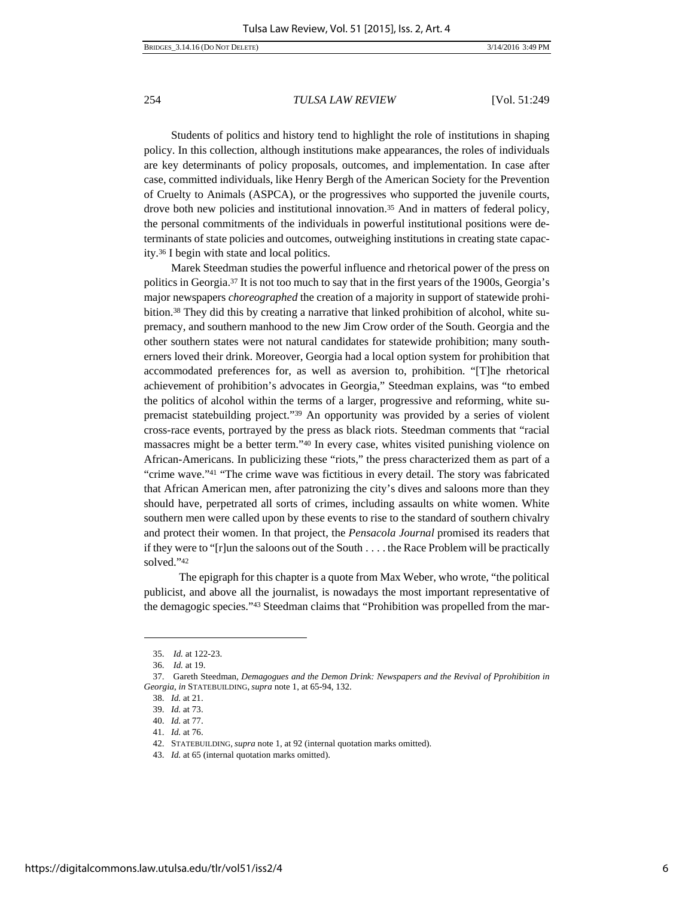Students of politics and history tend to highlight the role of institutions in shaping policy. In this collection, although institutions make appearances, the roles of individuals are key determinants of policy proposals, outcomes, and implementation. In case after case, committed individuals, like Henry Bergh of the American Society for the Prevention of Cruelty to Animals (ASPCA), or the progressives who supported the juvenile courts, drove both new policies and institutional innovation.35 And in matters of federal policy, the personal commitments of the individuals in powerful institutional positions were determinants of state policies and outcomes, outweighing institutions in creating state capacity.36 I begin with state and local politics.

Marek Steedman studies the powerful influence and rhetorical power of the press on politics in Georgia.37 It is not too much to say that in the first years of the 1900s, Georgia's major newspapers *choreographed* the creation of a majority in support of statewide prohibition.38 They did this by creating a narrative that linked prohibition of alcohol, white supremacy, and southern manhood to the new Jim Crow order of the South. Georgia and the other southern states were not natural candidates for statewide prohibition; many southerners loved their drink. Moreover, Georgia had a local option system for prohibition that accommodated preferences for, as well as aversion to, prohibition. "[T]he rhetorical achievement of prohibition's advocates in Georgia," Steedman explains, was "to embed the politics of alcohol within the terms of a larger, progressive and reforming, white supremacist statebuilding project."39 An opportunity was provided by a series of violent cross-race events, portrayed by the press as black riots. Steedman comments that "racial massacres might be a better term."40 In every case, whites visited punishing violence on African-Americans. In publicizing these "riots," the press characterized them as part of a "crime wave."41 "The crime wave was fictitious in every detail. The story was fabricated that African American men, after patronizing the city's dives and saloons more than they should have, perpetrated all sorts of crimes, including assaults on white women. White southern men were called upon by these events to rise to the standard of southern chivalry and protect their women. In that project, the *Pensacola Journal* promised its readers that if they were to "[r]un the saloons out of the South . . . . the Race Problem will be practically solved."42

 The epigraph for this chapter is a quote from Max Weber, who wrote, "the political publicist, and above all the journalist, is nowadays the most important representative of the demagogic species."43 Steedman claims that "Prohibition was propelled from the mar-

 <sup>35.</sup> *Id.* at 122-23.

 <sup>36.</sup> *Id.* at 19.

 <sup>37.</sup> Gareth Steedman, *Demagogues and the Demon Drink: Newspapers and the Revival of Pprohibition in Georgia*, *in* STATEBUILDING, *supra* note 1, at 65-94, 132.

 <sup>38.</sup> *Id.* at 21.

 <sup>39.</sup> *Id.* at 73.

 <sup>40.</sup> *Id.* at 77. 41. *Id.* at 76.

 <sup>42.</sup> STATEBUILDING, *supra* note 1, at 92 (internal quotation marks omitted).

 <sup>43.</sup> *Id.* at 65 (internal quotation marks omitted).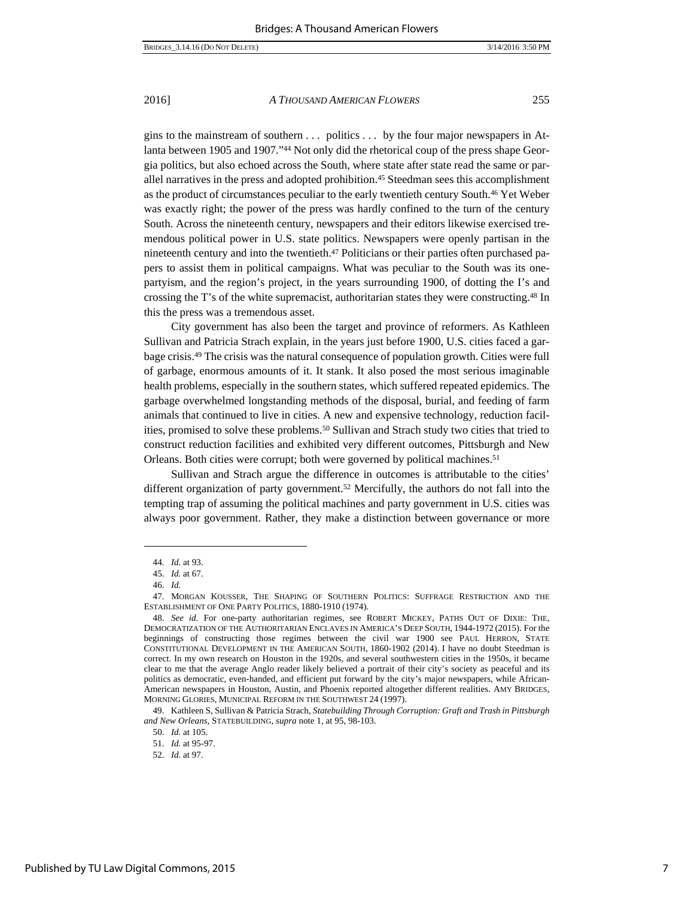gins to the mainstream of southern . . . politics . . . by the four major newspapers in Atlanta between 1905 and 1907."<sup>44</sup> Not only did the rhetorical coup of the press shape Georgia politics, but also echoed across the South, where state after state read the same or parallel narratives in the press and adopted prohibition.45 Steedman sees this accomplishment as the product of circumstances peculiar to the early twentieth century South.46 Yet Weber was exactly right; the power of the press was hardly confined to the turn of the century South. Across the nineteenth century, newspapers and their editors likewise exercised tremendous political power in U.S. state politics. Newspapers were openly partisan in the nineteenth century and into the twentieth.47 Politicians or their parties often purchased papers to assist them in political campaigns. What was peculiar to the South was its onepartyism, and the region's project, in the years surrounding 1900, of dotting the I's and crossing the T's of the white supremacist, authoritarian states they were constructing.48 In this the press was a tremendous asset.

City government has also been the target and province of reformers. As Kathleen Sullivan and Patricia Strach explain, in the years just before 1900, U.S. cities faced a garbage crisis.49 The crisis was the natural consequence of population growth. Cities were full of garbage, enormous amounts of it. It stank. It also posed the most serious imaginable health problems, especially in the southern states, which suffered repeated epidemics. The garbage overwhelmed longstanding methods of the disposal, burial, and feeding of farm animals that continued to live in cities. A new and expensive technology, reduction facilities, promised to solve these problems.50 Sullivan and Strach study two cities that tried to construct reduction facilities and exhibited very different outcomes, Pittsburgh and New Orleans. Both cities were corrupt; both were governed by political machines.51

Sullivan and Strach argue the difference in outcomes is attributable to the cities' different organization of party government.<sup>52</sup> Mercifully, the authors do not fall into the tempting trap of assuming the political machines and party government in U.S. cities was always poor government. Rather, they make a distinction between governance or more

 <sup>44.</sup> *Id.* at 93.

 <sup>45.</sup> *Id.* at 67.

 <sup>46.</sup> *Id.*

 <sup>47.</sup> MORGAN KOUSSER, THE SHAPING OF SOUTHERN POLITICS: SUFFRAGE RESTRICTION AND THE ESTABLISHMENT OF ONE PARTY POLITICS, 1880-1910 (1974).

 <sup>48.</sup> *See id.* For one-party authoritarian regimes, see ROBERT MICKEY, PATHS OUT OF DIXIE: THE*,* DEMOCRATIZATION OF THE AUTHORITARIAN ENCLAVES IN AMERICA'S DEEP SOUTH, 1944-1972 (2015). For the beginnings of constructing those regimes between the civil war 1900 see PAUL HERRON, STATE CONSTITUTIONAL DEVELOPMENT IN THE AMERICAN SOUTH, 1860-1902 (2014). I have no doubt Steedman is correct. In my own research on Houston in the 1920s, and several southwestern cities in the 1950s, it became clear to me that the average Anglo reader likely believed a portrait of their city's society as peaceful and its politics as democratic, even-handed, and efficient put forward by the city's major newspapers, while African-American newspapers in Houston, Austin, and Phoenix reported altogether different realities. AMY BRIDGES, MORNING GLORIES, MUNICIPAL REFORM IN THE SOUTHWEST 24 (1997).

 <sup>49.</sup> Kathleen S, Sullivan & Patricia Strach, *Statebuilding Through Corruption: Graft and Trash in Pittsburgh and New Orleans*, STATEBUILDING, *supra* note 1, at 95, 98-103.

 <sup>50.</sup> *Id.* at 105.

 <sup>51.</sup> *Id.* at 95-97.

 <sup>52.</sup> *Id.* at 97.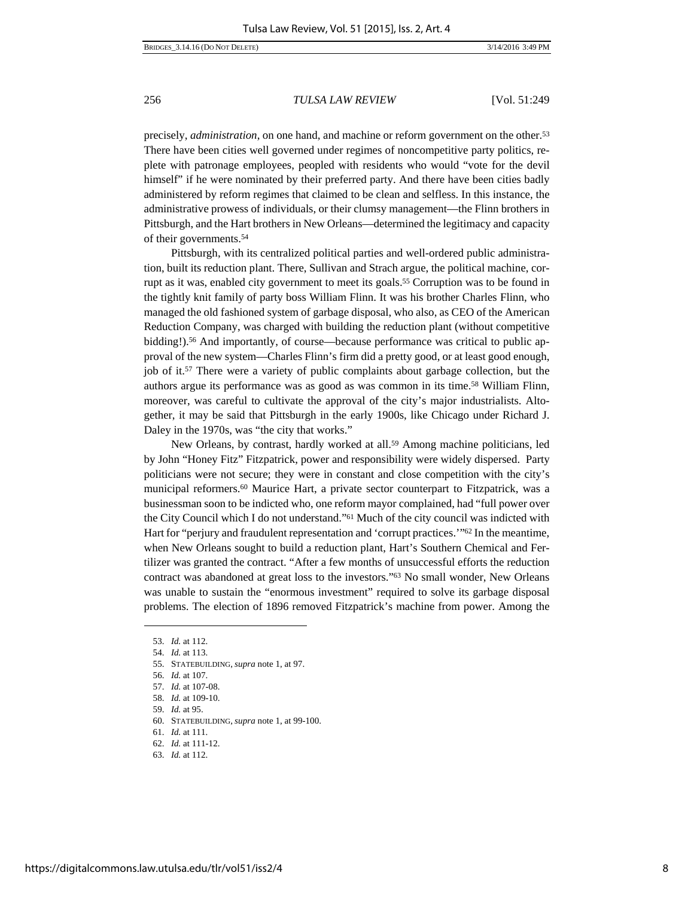precisely, *administration*, on one hand, and machine or reform government on the other.53 There have been cities well governed under regimes of noncompetitive party politics, replete with patronage employees, peopled with residents who would "vote for the devil himself" if he were nominated by their preferred party. And there have been cities badly administered by reform regimes that claimed to be clean and selfless. In this instance, the administrative prowess of individuals, or their clumsy management—the Flinn brothers in Pittsburgh, and the Hart brothers in New Orleans—determined the legitimacy and capacity of their governments.54

Pittsburgh, with its centralized political parties and well-ordered public administration, built its reduction plant. There, Sullivan and Strach argue, the political machine, corrupt as it was, enabled city government to meet its goals.55 Corruption was to be found in the tightly knit family of party boss William Flinn. It was his brother Charles Flinn, who managed the old fashioned system of garbage disposal, who also, as CEO of the American Reduction Company, was charged with building the reduction plant (without competitive bidding!).<sup>56</sup> And importantly, of course—because performance was critical to public approval of the new system—Charles Flinn's firm did a pretty good, or at least good enough, job of it.57 There were a variety of public complaints about garbage collection, but the authors argue its performance was as good as was common in its time.58 William Flinn, moreover, was careful to cultivate the approval of the city's major industrialists. Altogether, it may be said that Pittsburgh in the early 1900s, like Chicago under Richard J. Daley in the 1970s, was "the city that works."

New Orleans, by contrast, hardly worked at all.59 Among machine politicians, led by John "Honey Fitz" Fitzpatrick, power and responsibility were widely dispersed. Party politicians were not secure; they were in constant and close competition with the city's municipal reformers.60 Maurice Hart, a private sector counterpart to Fitzpatrick, was a businessman soon to be indicted who, one reform mayor complained, had "full power over the City Council which I do not understand."61 Much of the city council was indicted with Hart for "perjury and fraudulent representation and 'corrupt practices.'"<sup>62</sup> In the meantime, when New Orleans sought to build a reduction plant, Hart's Southern Chemical and Fertilizer was granted the contract. "After a few months of unsuccessful efforts the reduction contract was abandoned at great loss to the investors."63 No small wonder, New Orleans was unable to sustain the "enormous investment" required to solve its garbage disposal problems. The election of 1896 removed Fitzpatrick's machine from power. Among the

 <sup>53.</sup> *Id.* at 112.

 <sup>54.</sup> *Id.* at 113.

 <sup>55.</sup> STATEBUILDING, *supra* note 1, at 97.

 <sup>56.</sup> *Id.* at 107.

 <sup>57.</sup> *Id.* at 107-08.

 <sup>58.</sup> *Id.* at 109-10.

 <sup>59.</sup> *Id.* at 95.

 <sup>60.</sup> STATEBUILDING, *supra* note 1, at 99-100.

 <sup>61.</sup> *Id.* at 111.

 <sup>62.</sup> *Id.* at 111-12.

 <sup>63.</sup> *Id.* at 112.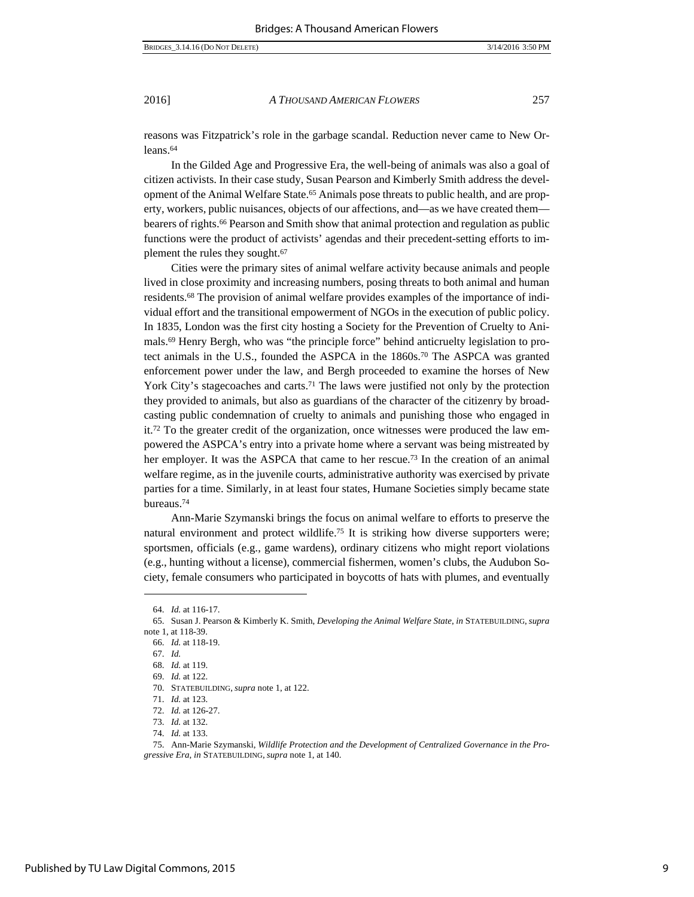reasons was Fitzpatrick's role in the garbage scandal. Reduction never came to New Orleans.64

In the Gilded Age and Progressive Era, the well-being of animals was also a goal of citizen activists. In their case study, Susan Pearson and Kimberly Smith address the development of the Animal Welfare State.65 Animals pose threats to public health, and are property, workers, public nuisances, objects of our affections, and—as we have created them bearers of rights.66 Pearson and Smith show that animal protection and regulation as public functions were the product of activists' agendas and their precedent-setting efforts to implement the rules they sought.67

Cities were the primary sites of animal welfare activity because animals and people lived in close proximity and increasing numbers, posing threats to both animal and human residents.68 The provision of animal welfare provides examples of the importance of individual effort and the transitional empowerment of NGOs in the execution of public policy. In 1835, London was the first city hosting a Society for the Prevention of Cruelty to Animals.69 Henry Bergh, who was "the principle force" behind anticruelty legislation to protect animals in the U.S., founded the ASPCA in the 1860s.70 The ASPCA was granted enforcement power under the law, and Bergh proceeded to examine the horses of New York City's stagecoaches and carts.<sup>71</sup> The laws were justified not only by the protection they provided to animals, but also as guardians of the character of the citizenry by broadcasting public condemnation of cruelty to animals and punishing those who engaged in it.72 To the greater credit of the organization, once witnesses were produced the law empowered the ASPCA's entry into a private home where a servant was being mistreated by her employer. It was the ASPCA that came to her rescue.73 In the creation of an animal welfare regime, as in the juvenile courts, administrative authority was exercised by private parties for a time. Similarly, in at least four states, Humane Societies simply became state bureaus.74

Ann-Marie Szymanski brings the focus on animal welfare to efforts to preserve the natural environment and protect wildlife.75 It is striking how diverse supporters were; sportsmen, officials (e.g., game wardens), ordinary citizens who might report violations (e.g., hunting without a license), commercial fishermen, women's clubs, the Audubon Society, female consumers who participated in boycotts of hats with plumes, and eventually

 <sup>64.</sup> *Id.* at 116-17.

 <sup>65.</sup> Susan J. Pearson & Kimberly K. Smith, *Developing the Animal Welfare State*, *in* STATEBUILDING,*supra*  note 1, at 118-39.

 <sup>66.</sup> *Id.* at 118-19.

 <sup>67.</sup> *Id.*

 <sup>68.</sup> *Id.* at 119.

 <sup>69.</sup> *Id.* at 122.

 <sup>70.</sup> STATEBUILDING, *supra* note 1, at 122.

 <sup>71.</sup> *Id.* at 123.

 <sup>72.</sup> *Id.* at 126-27.

 <sup>73.</sup> *Id.* at 132.

 <sup>74.</sup> *Id.* at 133.

 <sup>75.</sup> Ann-Marie Szymanski, *Wildlife Protection and the Development of Centralized Governance in the Progressive Era*, *in* STATEBUILDING, *supra* note 1, at 140.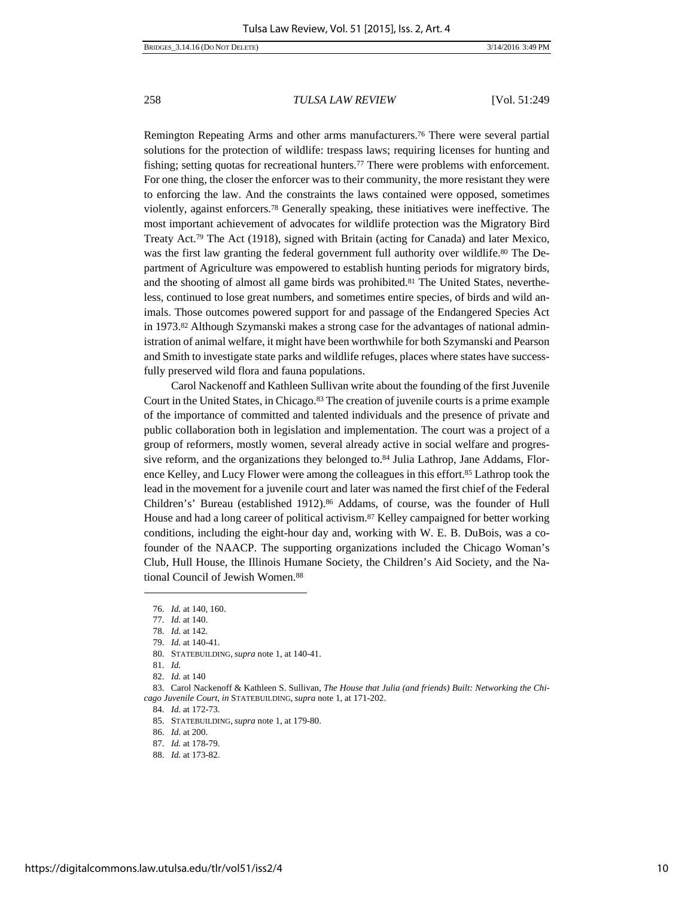Remington Repeating Arms and other arms manufacturers.76 There were several partial solutions for the protection of wildlife: trespass laws; requiring licenses for hunting and fishing; setting quotas for recreational hunters.77 There were problems with enforcement. For one thing, the closer the enforcer was to their community, the more resistant they were to enforcing the law. And the constraints the laws contained were opposed, sometimes violently, against enforcers.78 Generally speaking, these initiatives were ineffective. The most important achievement of advocates for wildlife protection was the Migratory Bird Treaty Act.79 The Act (1918), signed with Britain (acting for Canada) and later Mexico, was the first law granting the federal government full authority over wildlife.<sup>80</sup> The Department of Agriculture was empowered to establish hunting periods for migratory birds, and the shooting of almost all game birds was prohibited.81 The United States, nevertheless, continued to lose great numbers, and sometimes entire species, of birds and wild animals. Those outcomes powered support for and passage of the Endangered Species Act in 1973.82 Although Szymanski makes a strong case for the advantages of national administration of animal welfare, it might have been worthwhile for both Szymanski and Pearson and Smith to investigate state parks and wildlife refuges, places where states have successfully preserved wild flora and fauna populations.

Carol Nackenoff and Kathleen Sullivan write about the founding of the first Juvenile Court in the United States, in Chicago.<sup>83</sup> The creation of juvenile courts is a prime example of the importance of committed and talented individuals and the presence of private and public collaboration both in legislation and implementation. The court was a project of a group of reformers, mostly women, several already active in social welfare and progressive reform, and the organizations they belonged to.84 Julia Lathrop, Jane Addams, Florence Kelley, and Lucy Flower were among the colleagues in this effort.85 Lathrop took the lead in the movement for a juvenile court and later was named the first chief of the Federal Children's' Bureau (established 1912).<sup>86</sup> Addams, of course, was the founder of Hull House and had a long career of political activism.87 Kelley campaigned for better working conditions, including the eight-hour day and, working with W. E. B. DuBois, was a cofounder of the NAACP. The supporting organizations included the Chicago Woman's Club, Hull House, the Illinois Humane Society, the Children's Aid Society, and the National Council of Jewish Women.88

79. *Id.* at 140-41.

 <sup>76.</sup> *Id.* at 140, 160.

 <sup>77.</sup> *Id.* at 140.

 <sup>78.</sup> *Id.* at 142.

 <sup>80.</sup> STATEBUILDING, *supra* note 1, at 140-41.

 <sup>81.</sup> *Id.*

 <sup>82.</sup> *Id.* at 140

 <sup>83.</sup> Carol Nackenoff & Kathleen S. Sullivan, *The House that Julia (and friends) Built: Networking the Chicago Juvenile Court*, *in* STATEBUILDING, *supra* note 1, at 171-202.

 <sup>84.</sup> *Id.* at 172-73.

 <sup>85.</sup> STATEBUILDING, *supra* note 1, at 179-80.

 <sup>86.</sup> *Id.* at 200.

 <sup>87.</sup> *Id.* at 178-79.

 <sup>88.</sup> *Id.* at 173-82.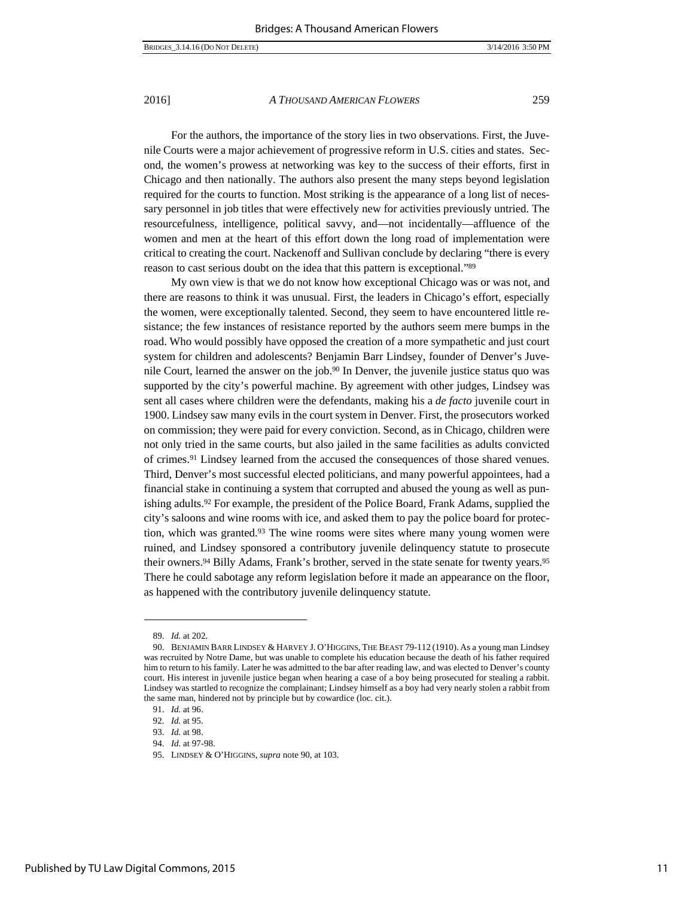For the authors, the importance of the story lies in two observations. First, the Juvenile Courts were a major achievement of progressive reform in U.S. cities and states. Second, the women's prowess at networking was key to the success of their efforts, first in Chicago and then nationally. The authors also present the many steps beyond legislation required for the courts to function. Most striking is the appearance of a long list of necessary personnel in job titles that were effectively new for activities previously untried. The resourcefulness, intelligence, political savvy, and—not incidentally—affluence of the women and men at the heart of this effort down the long road of implementation were critical to creating the court. Nackenoff and Sullivan conclude by declaring "there is every reason to cast serious doubt on the idea that this pattern is exceptional."89

My own view is that we do not know how exceptional Chicago was or was not, and there are reasons to think it was unusual. First, the leaders in Chicago's effort, especially the women, were exceptionally talented. Second, they seem to have encountered little resistance; the few instances of resistance reported by the authors seem mere bumps in the road. Who would possibly have opposed the creation of a more sympathetic and just court system for children and adolescents? Benjamin Barr Lindsey, founder of Denver's Juvenile Court, learned the answer on the job.90 In Denver, the juvenile justice status quo was supported by the city's powerful machine. By agreement with other judges, Lindsey was sent all cases where children were the defendants, making his a *de facto* juvenile court in 1900. Lindsey saw many evils in the court system in Denver. First, the prosecutors worked on commission; they were paid for every conviction. Second, as in Chicago, children were not only tried in the same courts, but also jailed in the same facilities as adults convicted of crimes.91 Lindsey learned from the accused the consequences of those shared venues. Third, Denver's most successful elected politicians, and many powerful appointees, had a financial stake in continuing a system that corrupted and abused the young as well as punishing adults.92 For example, the president of the Police Board, Frank Adams, supplied the city's saloons and wine rooms with ice, and asked them to pay the police board for protection, which was granted.93 The wine rooms were sites where many young women were ruined, and Lindsey sponsored a contributory juvenile delinquency statute to prosecute their owners.94 Billy Adams, Frank's brother, served in the state senate for twenty years.95 There he could sabotage any reform legislation before it made an appearance on the floor, as happened with the contributory juvenile delinquency statute.

 <sup>89.</sup> *Id.* at 202.

 <sup>90.</sup> BENJAMIN BARR LINDSEY & HARVEY J. O'HIGGINS, THE BEAST 79-112 (1910). As a young man Lindsey was recruited by Notre Dame, but was unable to complete his education because the death of his father required him to return to his family. Later he was admitted to the bar after reading law, and was elected to Denver's county court. His interest in juvenile justice began when hearing a case of a boy being prosecuted for stealing a rabbit. Lindsey was startled to recognize the complainant; Lindsey himself as a boy had very nearly stolen a rabbit from the same man, hindered not by principle but by cowardice (loc. cit.).

 <sup>91.</sup> *Id.* at 96.

 <sup>92.</sup> *Id.* at 95.

 <sup>93.</sup> *Id.* at 98.

 <sup>94.</sup> *Id.* at 97-98.

 <sup>95.</sup> LINDSEY & O'HIGGINS, *supra* note 90, at 103.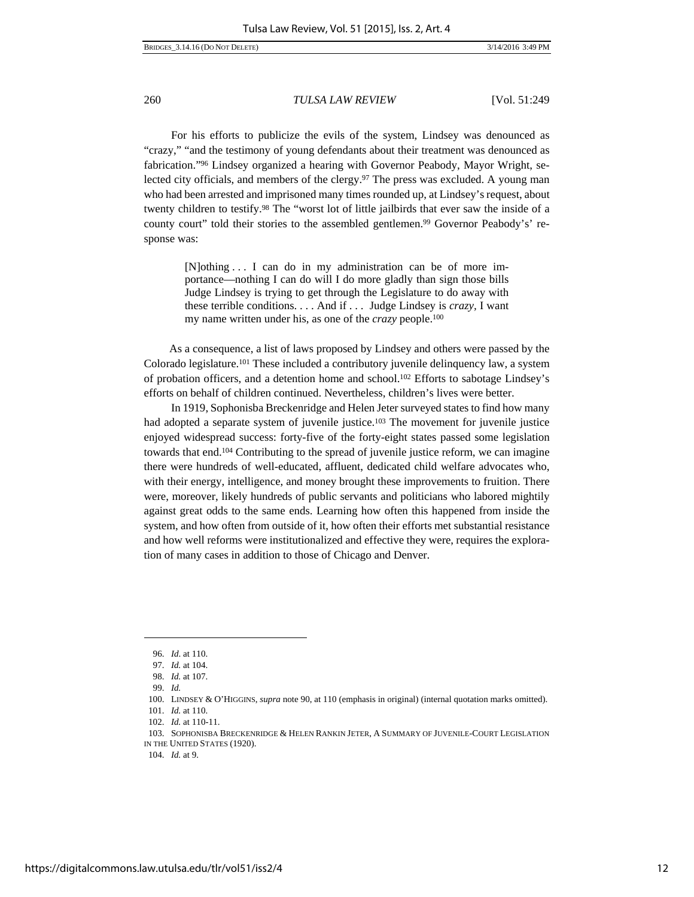BRIDGES\_3.14.16 (DO NOT DELETE) 3/14/2016 3:49 PM

260 *TULSA LAW REVIEW* [Vol. 51:249

For his efforts to publicize the evils of the system, Lindsey was denounced as "crazy," "and the testimony of young defendants about their treatment was denounced as fabrication."96 Lindsey organized a hearing with Governor Peabody, Mayor Wright, selected city officials, and members of the clergy.97 The press was excluded. A young man who had been arrested and imprisoned many times rounded up, at Lindsey's request, about twenty children to testify.98 The "worst lot of little jailbirds that ever saw the inside of a county court" told their stories to the assembled gentlemen.<sup>99</sup> Governor Peabody's' response was:

> [N]othing . . . I can do in my administration can be of more importance—nothing I can do will I do more gladly than sign those bills Judge Lindsey is trying to get through the Legislature to do away with these terrible conditions. . . . And if . . . Judge Lindsey is *crazy,* I want my name written under his, as one of the *crazy* people.100

 As a consequence, a list of laws proposed by Lindsey and others were passed by the Colorado legislature.101 These included a contributory juvenile delinquency law, a system of probation officers, and a detention home and school.102 Efforts to sabotage Lindsey's efforts on behalf of children continued. Nevertheless, children's lives were better.

In 1919, Sophonisba Breckenridge and Helen Jeter surveyed states to find how many had adopted a separate system of juvenile justice.103 The movement for juvenile justice enjoyed widespread success: forty-five of the forty-eight states passed some legislation towards that end.104 Contributing to the spread of juvenile justice reform, we can imagine there were hundreds of well-educated, affluent, dedicated child welfare advocates who, with their energy, intelligence, and money brought these improvements to fruition. There were, moreover, likely hundreds of public servants and politicians who labored mightily against great odds to the same ends. Learning how often this happened from inside the system, and how often from outside of it, how often their efforts met substantial resistance and how well reforms were institutionalized and effective they were, requires the exploration of many cases in addition to those of Chicago and Denver.

 <sup>96.</sup> *Id*. at 110.

 <sup>97.</sup> *Id.* at 104.

 <sup>98.</sup> *Id.* at 107.

 <sup>99.</sup> *Id.*

 <sup>100.</sup> LINDSEY & O'HIGGINS, *supra* note 90, at 110 (emphasis in original) (internal quotation marks omitted).

 <sup>101.</sup> *Id.* at 110.

 <sup>102.</sup> *Id.* at 110-11.

 <sup>103.</sup> SOPHONISBA BRECKENRIDGE & HELEN RANKIN JETER, A SUMMARY OF JUVENILE-COURT LEGISLATION IN THE UNITED STATES (1920).

 <sup>104.</sup> *Id.* at 9.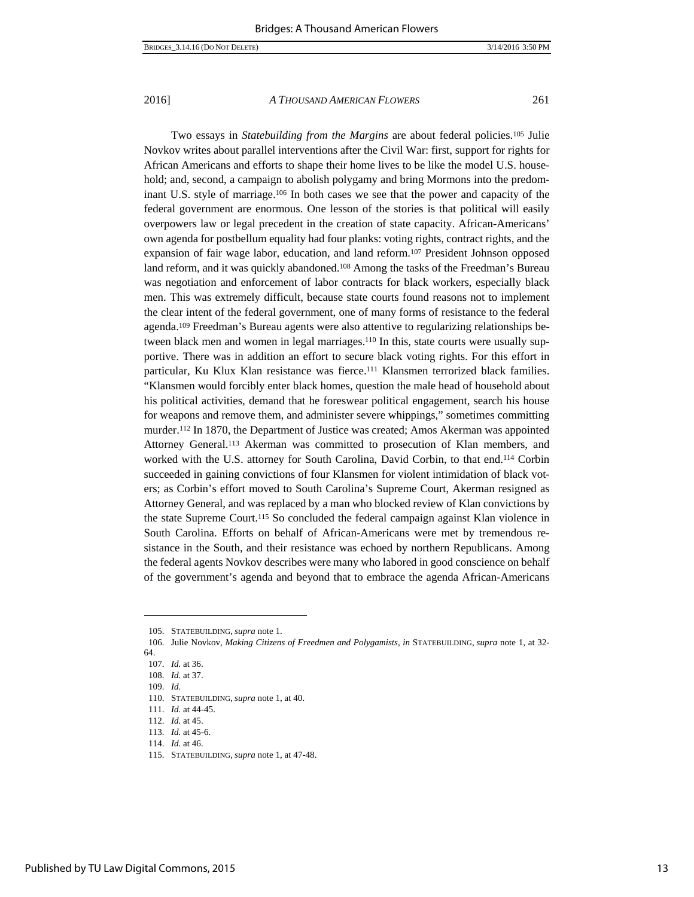Two essays in *Statebuilding from the Margins* are about federal policies.105 Julie Novkov writes about parallel interventions after the Civil War: first, support for rights for African Americans and efforts to shape their home lives to be like the model U.S. household; and, second, a campaign to abolish polygamy and bring Mormons into the predominant U.S. style of marriage.106 In both cases we see that the power and capacity of the federal government are enormous. One lesson of the stories is that political will easily overpowers law or legal precedent in the creation of state capacity. African-Americans' own agenda for postbellum equality had four planks: voting rights, contract rights, and the expansion of fair wage labor, education, and land reform.107 President Johnson opposed land reform, and it was quickly abandoned.108 Among the tasks of the Freedman's Bureau was negotiation and enforcement of labor contracts for black workers, especially black men. This was extremely difficult, because state courts found reasons not to implement the clear intent of the federal government, one of many forms of resistance to the federal agenda.109 Freedman's Bureau agents were also attentive to regularizing relationships between black men and women in legal marriages.<sup>110</sup> In this, state courts were usually supportive. There was in addition an effort to secure black voting rights. For this effort in particular, Ku Klux Klan resistance was fierce.111 Klansmen terrorized black families. "Klansmen would forcibly enter black homes, question the male head of household about his political activities, demand that he foreswear political engagement, search his house for weapons and remove them, and administer severe whippings," sometimes committing murder.112 In 1870, the Department of Justice was created; Amos Akerman was appointed Attorney General.113 Akerman was committed to prosecution of Klan members, and worked with the U.S. attorney for South Carolina, David Corbin, to that end.114 Corbin succeeded in gaining convictions of four Klansmen for violent intimidation of black voters; as Corbin's effort moved to South Carolina's Supreme Court, Akerman resigned as Attorney General, and was replaced by a man who blocked review of Klan convictions by the state Supreme Court.115 So concluded the federal campaign against Klan violence in South Carolina. Efforts on behalf of African-Americans were met by tremendous resistance in the South, and their resistance was echoed by northern Republicans. Among the federal agents Novkov describes were many who labored in good conscience on behalf of the government's agenda and beyond that to embrace the agenda African-Americans

 <sup>105.</sup> STATEBUILDING, *supra* note 1.

 <sup>106.</sup> Julie Novkov, *Making Citizens of Freedmen and Polygamists*, *in* STATEBUILDING, *supra* note 1, at 32- 64.

 <sup>107.</sup> *Id.* at 36.

 <sup>108.</sup> *Id.* at 37.

 <sup>109.</sup> *Id.*

 <sup>110.</sup> STATEBUILDING, *supra* note 1, at 40. 111. *Id.* at 44-45.

 <sup>112.</sup> *Id.* at 45.

 <sup>113.</sup> *Id.* at 45-6.

 <sup>114.</sup> *Id.* at 46.

 <sup>115.</sup> STATEBUILDING, *supra* note 1, at 47-48.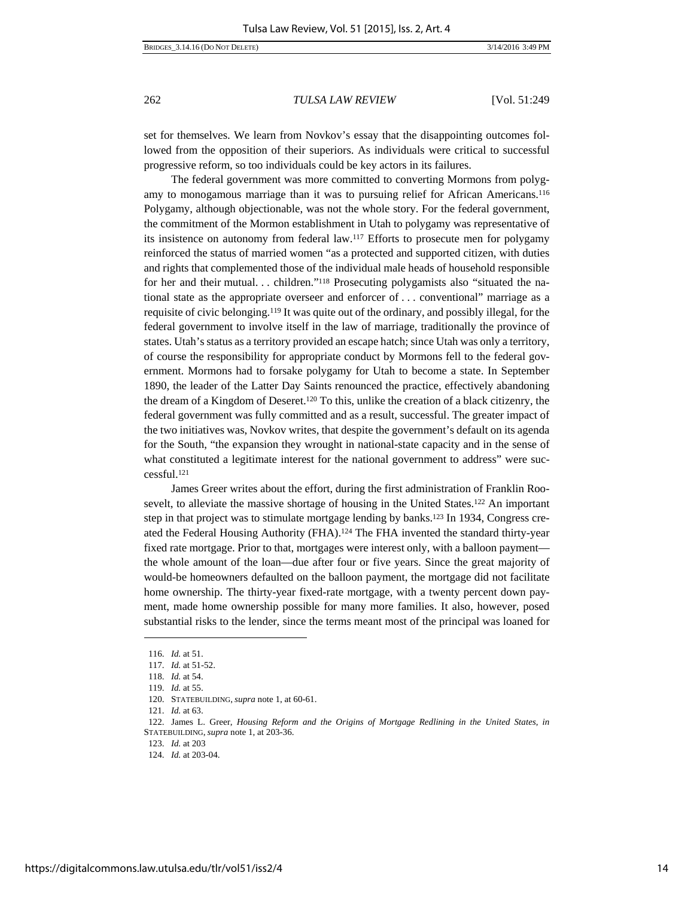set for themselves. We learn from Novkov's essay that the disappointing outcomes followed from the opposition of their superiors. As individuals were critical to successful progressive reform, so too individuals could be key actors in its failures.

The federal government was more committed to converting Mormons from polygamy to monogamous marriage than it was to pursuing relief for African Americans.116 Polygamy, although objectionable, was not the whole story. For the federal government, the commitment of the Mormon establishment in Utah to polygamy was representative of its insistence on autonomy from federal law.117 Efforts to prosecute men for polygamy reinforced the status of married women "as a protected and supported citizen, with duties and rights that complemented those of the individual male heads of household responsible for her and their mutual. . . children."118 Prosecuting polygamists also "situated the national state as the appropriate overseer and enforcer of . . . conventional" marriage as a requisite of civic belonging.119 It was quite out of the ordinary, and possibly illegal, for the federal government to involve itself in the law of marriage, traditionally the province of states. Utah's status as a territory provided an escape hatch; since Utah was only a territory, of course the responsibility for appropriate conduct by Mormons fell to the federal government. Mormons had to forsake polygamy for Utah to become a state. In September 1890, the leader of the Latter Day Saints renounced the practice, effectively abandoning the dream of a Kingdom of Deseret.<sup>120</sup> To this, unlike the creation of a black citizenry, the federal government was fully committed and as a result, successful. The greater impact of the two initiatives was, Novkov writes, that despite the government's default on its agenda for the South, "the expansion they wrought in national-state capacity and in the sense of what constituted a legitimate interest for the national government to address" were successful.121

James Greer writes about the effort, during the first administration of Franklin Roosevelt, to alleviate the massive shortage of housing in the United States.122 An important step in that project was to stimulate mortgage lending by banks.<sup>123</sup> In 1934, Congress created the Federal Housing Authority (FHA).124 The FHA invented the standard thirty-year fixed rate mortgage. Prior to that, mortgages were interest only, with a balloon payment the whole amount of the loan—due after four or five years. Since the great majority of would-be homeowners defaulted on the balloon payment, the mortgage did not facilitate home ownership. The thirty-year fixed-rate mortgage, with a twenty percent down payment, made home ownership possible for many more families. It also, however, posed substantial risks to the lender, since the terms meant most of the principal was loaned for

 <sup>116.</sup> *Id.* at 51.

 <sup>117.</sup> *Id.* at 51-52.

 <sup>118.</sup> *Id.* at 54.

 <sup>119.</sup> *Id.* at 55.

 <sup>120.</sup> STATEBUILDING, *supra* note 1, at 60-61.

 <sup>121.</sup> *Id.* at 63.

 <sup>122.</sup> James L. Greer, *Housing Reform and the Origins of Mortgage Redlining in the United States*, *in* STATEBUILDING, *supra* note 1, at 203-36.

 <sup>123.</sup> *Id.* at 203 124. *Id.* at 203-04.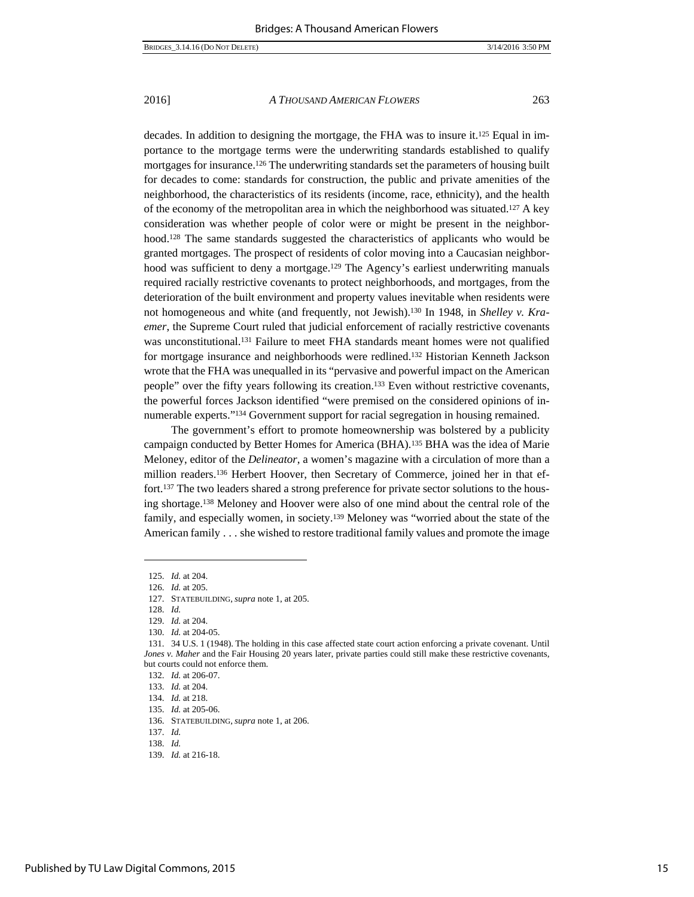decades. In addition to designing the mortgage, the FHA was to insure it.<sup>125</sup> Equal in importance to the mortgage terms were the underwriting standards established to qualify mortgages for insurance.126 The underwriting standards set the parameters of housing built for decades to come: standards for construction, the public and private amenities of the neighborhood, the characteristics of its residents (income, race, ethnicity), and the health of the economy of the metropolitan area in which the neighborhood was situated.127 A key consideration was whether people of color were or might be present in the neighborhood.<sup>128</sup> The same standards suggested the characteristics of applicants who would be granted mortgages. The prospect of residents of color moving into a Caucasian neighborhood was sufficient to deny a mortgage.<sup>129</sup> The Agency's earliest underwriting manuals required racially restrictive covenants to protect neighborhoods, and mortgages, from the deterioration of the built environment and property values inevitable when residents were not homogeneous and white (and frequently, not Jewish).130 In 1948, in *Shelley v. Kraemer*, the Supreme Court ruled that judicial enforcement of racially restrictive covenants was unconstitutional.131 Failure to meet FHA standards meant homes were not qualified for mortgage insurance and neighborhoods were redlined.132 Historian Kenneth Jackson wrote that the FHA was unequalled in its "pervasive and powerful impact on the American people" over the fifty years following its creation.133 Even without restrictive covenants, the powerful forces Jackson identified "were premised on the considered opinions of innumerable experts."134 Government support for racial segregation in housing remained.

The government's effort to promote homeownership was bolstered by a publicity campaign conducted by Better Homes for America (BHA).135 BHA was the idea of Marie Meloney, editor of the *Delineator*, a women's magazine with a circulation of more than a million readers.136 Herbert Hoover, then Secretary of Commerce, joined her in that effort.137 The two leaders shared a strong preference for private sector solutions to the housing shortage.138 Meloney and Hoover were also of one mind about the central role of the family, and especially women, in society.139 Meloney was "worried about the state of the American family . . . she wished to restore traditional family values and promote the image

 <sup>125.</sup> *Id.* at 204.

 <sup>126.</sup> *Id.* at 205.

 <sup>127.</sup> STATEBUILDING, *supra* note 1, at 205.

 <sup>128.</sup> *Id.*

 <sup>129.</sup> *Id.* at 204.

 <sup>130.</sup> *Id.* at 204-05.

 <sup>131. 34</sup> U.S. 1 (1948). The holding in this case affected state court action enforcing a private covenant. Until *Jones v. Maher* and the Fair Housing 20 years later, private parties could still make these restrictive covenants, but courts could not enforce them.

 <sup>132.</sup> *Id.* at 206-07.

 <sup>133.</sup> *Id.* at 204.

 <sup>134.</sup> *Id.* at 218.

 <sup>135.</sup> *Id.* at 205-06.

 <sup>136.</sup> STATEBUILDING, *supra* note 1, at 206.

 <sup>137.</sup> *Id.*

 <sup>138.</sup> *Id.*

 <sup>139.</sup> *Id.* at 216-18.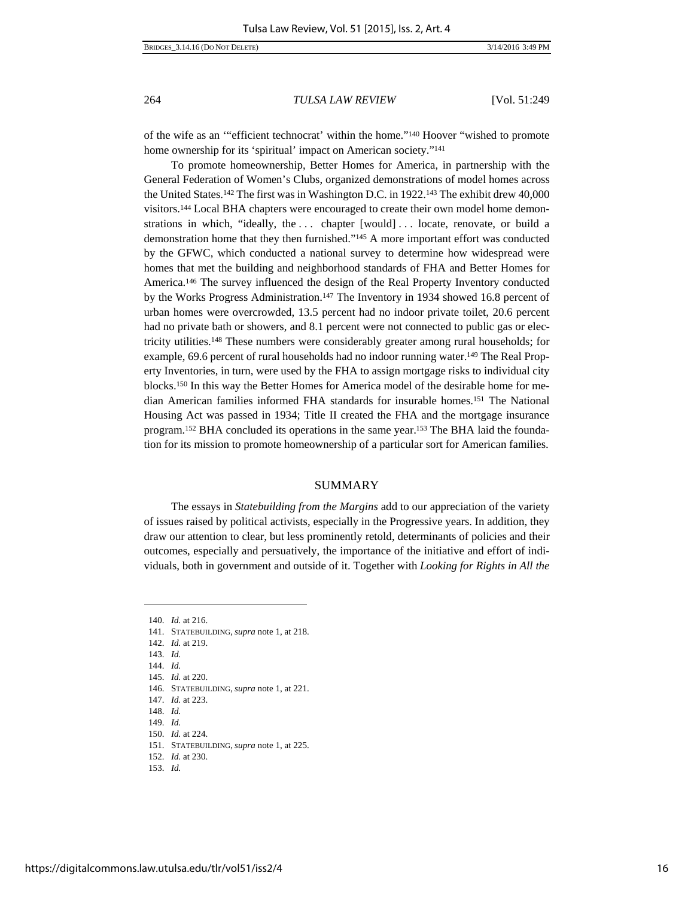of the wife as an '"efficient technocrat' within the home."140 Hoover "wished to promote home ownership for its 'spiritual' impact on American society."<sup>141</sup>

To promote homeownership, Better Homes for America, in partnership with the General Federation of Women's Clubs, organized demonstrations of model homes across the United States.142 The first was in Washington D.C. in 1922.143 The exhibit drew 40,000 visitors.144 Local BHA chapters were encouraged to create their own model home demonstrations in which, "ideally, the ... chapter [would] ... locate, renovate, or build a demonstration home that they then furnished."145 A more important effort was conducted by the GFWC, which conducted a national survey to determine how widespread were homes that met the building and neighborhood standards of FHA and Better Homes for America.146 The survey influenced the design of the Real Property Inventory conducted by the Works Progress Administration.147 The Inventory in 1934 showed 16.8 percent of urban homes were overcrowded, 13.5 percent had no indoor private toilet, 20.6 percent had no private bath or showers, and 8.1 percent were not connected to public gas or electricity utilities.148 These numbers were considerably greater among rural households; for example, 69.6 percent of rural households had no indoor running water.<sup>149</sup> The Real Property Inventories, in turn, were used by the FHA to assign mortgage risks to individual city blocks.150 In this way the Better Homes for America model of the desirable home for median American families informed FHA standards for insurable homes.151 The National Housing Act was passed in 1934; Title II created the FHA and the mortgage insurance program.<sup>152</sup> BHA concluded its operations in the same year.<sup>153</sup> The BHA laid the foundation for its mission to promote homeownership of a particular sort for American families.

### SUMMARY

The essays in *Statebuilding from the Margins* add to our appreciation of the variety of issues raised by political activists, especially in the Progressive years. In addition, they draw our attention to clear, but less prominently retold, determinants of policies and their outcomes, especially and persuatively, the importance of the initiative and effort of individuals, both in government and outside of it. Together with *Looking for Rights in All the* 

- 142. *Id.* at 219.
- 143. *Id.*

- 144. *Id.*
- 145. *Id.* at 220.
- 146. STATEBUILDING, *supra* note 1, at 221.
- 147. *Id.* at 223.
- 148. *Id.*
- 149. *Id.*
- 150. *Id.* at 224.
- 151. STATEBUILDING, *supra* note 1, at 225.
- 152. *Id.* at 230.
- 153. *Id.*

 <sup>140.</sup> *Id.* at 216.

 <sup>141.</sup> STATEBUILDING, *supra* note 1, at 218.